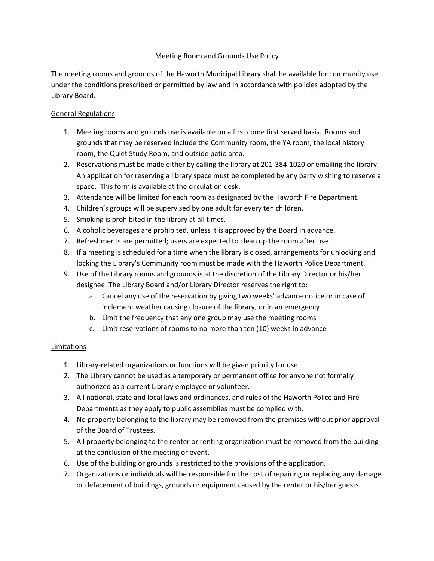### Meeting Room and Grounds Use Policy

The meeting rooms and grounds of the Haworth Municipal Library shall be available for community use under the conditions prescribed or permitted by law and in accordance with policies adopted by the Library Board.

# General Regulations

- 1. Meeting rooms and grounds use is available on a first come first served basis. Rooms and grounds that may be reserved include the Community room, the YA room, the local history room, the Quiet Study Room, and outside patio area.
- 2. Reservations must be made either by calling the library at 201-384-1020 or emailing the library. An application for reserving a library space must be completed by any party wishing to reserve a space. This form is available at the circulation desk.
- 3. Attendance will be limited for each room as designated by the Haworth Fire Department.
- 4. Children's groups will be supervised by one adult for every ten children.
- 5. Smoking is prohibited in the library at all times.
- 6. Alcoholic beverages are prohibited, unless it is approved by the Board in advance.
- 7. Refreshments are permitted; users are expected to clean up the room after use.
- 8. If a meeting is scheduled for a time when the library is closed, arrangements for unlocking and locking the Library's Community room must be made with the Haworth Police Department.
- 9. Use of the Library rooms and grounds is at the discretion of the Library Director or his/her designee. The Library Board and/or Library Director reserves the right to:
	- a. Cancel any use of the reservation by giving two weeks' advance notice or in case of inclement weather causing closure of the library, or in an emergency
	- b. Limit the frequency that any one group may use the meeting rooms
	- c. Limit reservations of rooms to no more than ten (10) weeks in advance

# Limitations

- 1. Library-related organizations or functions will be given priority for use.
- 2. The Library cannot be used as a temporary or permanent office for anyone not formally authorized as a current Library employee or volunteer.
- 3. All national, state and local laws and ordinances, and rules of the Haworth Police and Fire Departments as they apply to public assemblies must be complied with.
- 4. No property belonging to the library may be removed from the premises without prior approval of the Board of Trustees.
- 5. All property belonging to the renter or renting organization must be removed from the building at the conclusion of the meeting or event.
- 6. Use of the building or grounds is restricted to the provisions of the application.
- 7. Organizations or individuals will be responsible for the cost of repairing or replacing any damage or defacement of buildings, grounds or equipment caused by the renter or his/her guests.